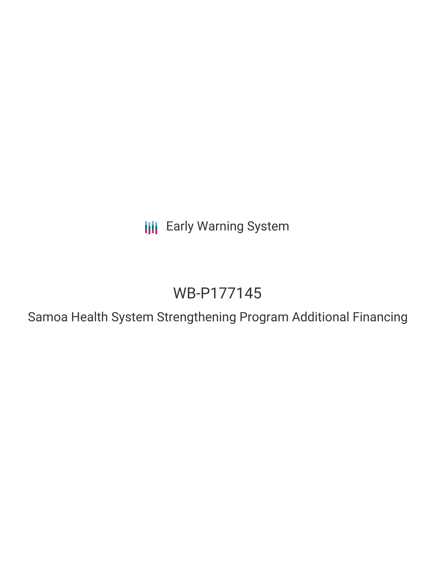**III** Early Warning System

# WB-P177145

Samoa Health System Strengthening Program Additional Financing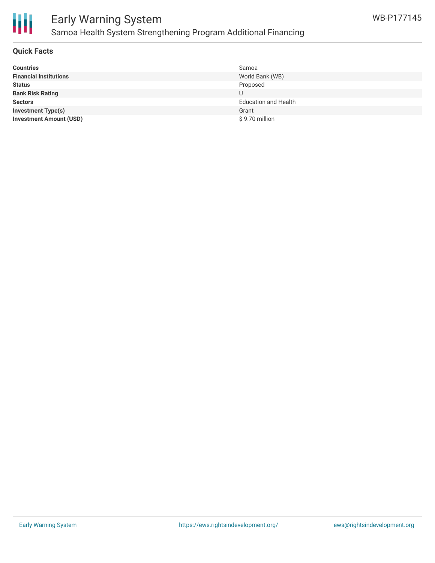

# Early Warning System Samoa Health System Strengthening Program Additional Financing

#### **Quick Facts**

| <b>Countries</b>               | Samoa                       |
|--------------------------------|-----------------------------|
| <b>Financial Institutions</b>  | World Bank (WB)             |
| <b>Status</b>                  | Proposed                    |
| <b>Bank Risk Rating</b>        | U                           |
| <b>Sectors</b>                 | <b>Education and Health</b> |
| <b>Investment Type(s)</b>      | Grant                       |
| <b>Investment Amount (USD)</b> | \$9.70 million              |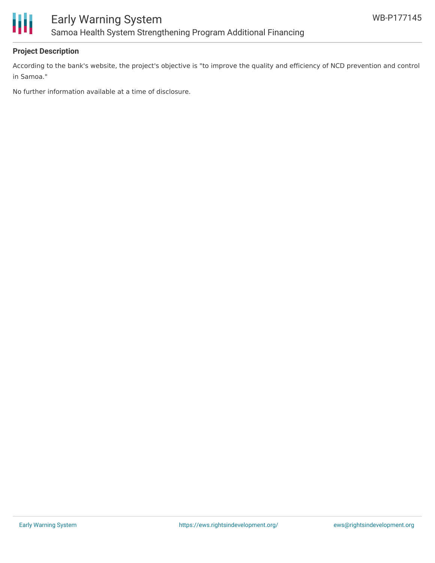

### **Project Description**

According to the bank's website, the project's objective is "to improve the quality and efficiency of NCD prevention and control in Samoa."

No further information available at a time of disclosure.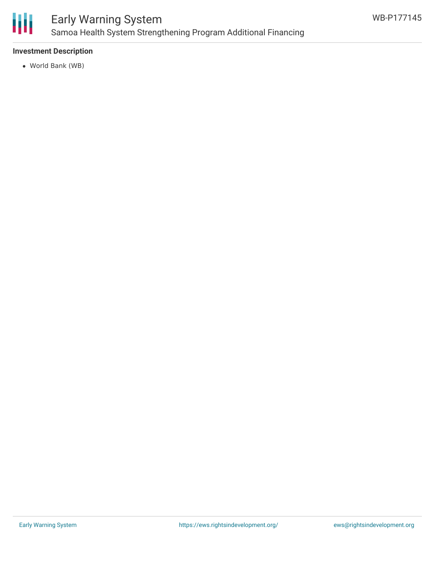

# Early Warning System Samoa Health System Strengthening Program Additional Financing

### **Investment Description**

World Bank (WB)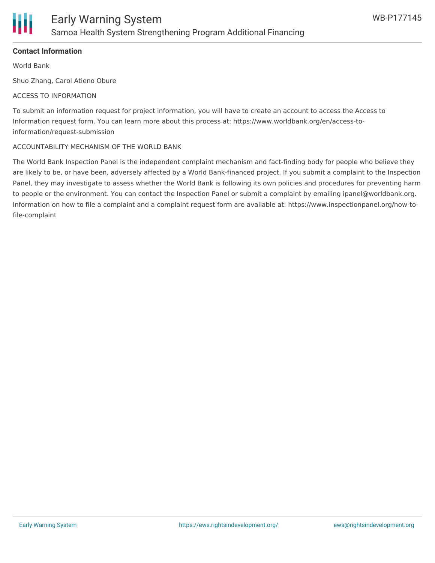

#### **Contact Information**

World Bank

Shuo Zhang, Carol Atieno Obure

#### ACCESS TO INFORMATION

To submit an information request for project information, you will have to create an account to access the Access to Information request form. You can learn more about this process at: https://www.worldbank.org/en/access-toinformation/request-submission

#### ACCOUNTABILITY MECHANISM OF THE WORLD BANK

The World Bank Inspection Panel is the independent complaint mechanism and fact-finding body for people who believe they are likely to be, or have been, adversely affected by a World Bank-financed project. If you submit a complaint to the Inspection Panel, they may investigate to assess whether the World Bank is following its own policies and procedures for preventing harm to people or the environment. You can contact the Inspection Panel or submit a complaint by emailing ipanel@worldbank.org. Information on how to file a complaint and a complaint request form are available at: https://www.inspectionpanel.org/how-tofile-complaint